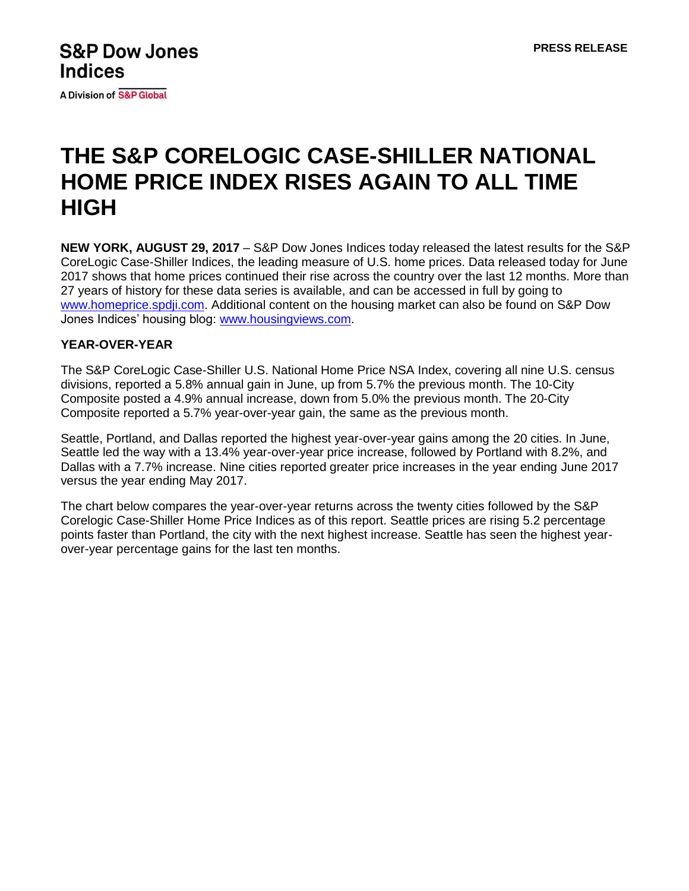**A Division of S&P Global** 

# **THE S&P CORELOGIC CASE-SHILLER NATIONAL HOME PRICE INDEX RISES AGAIN TO ALL TIME HIGH**

**NEW YORK, AUGUST 29, 2017** – S&P Dow Jones Indices today released the latest results for the S&P CoreLogic Case-Shiller Indices, the leading measure of U.S. home prices. Data released today for June 2017 shows that home prices continued their rise across the country over the last 12 months. More than 27 years of history for these data series is available, and can be accessed in full by going to [www.homeprice.spdji.com.](http://www.homeprice.spdji.com/) Additional content on the housing market can also be found on S&P Dow Jones Indices' housing blog: [www.housingviews.com.](http://www.housingviews.com/)

# **YEAR-OVER-YEAR**

The S&P CoreLogic Case-Shiller U.S. National Home Price NSA Index, covering all nine U.S. census divisions, reported a 5.8% annual gain in June, up from 5.7% the previous month. The 10-City Composite posted a 4.9% annual increase, down from 5.0% the previous month. The 20-City Composite reported a 5.7% year-over-year gain, the same as the previous month.

Seattle, Portland, and Dallas reported the highest year-over-year gains among the 20 cities. In June, Seattle led the way with a 13.4% year-over-year price increase, followed by Portland with 8.2%, and Dallas with a 7.7% increase. Nine cities reported greater price increases in the year ending June 2017 versus the year ending May 2017.

The chart below compares the year-over-year returns across the twenty cities followed by the S&P Corelogic Case-Shiller Home Price Indices as of this report. Seattle prices are rising 5.2 percentage points faster than Portland, the city with the next highest increase. Seattle has seen the highest yearover-year percentage gains for the last ten months.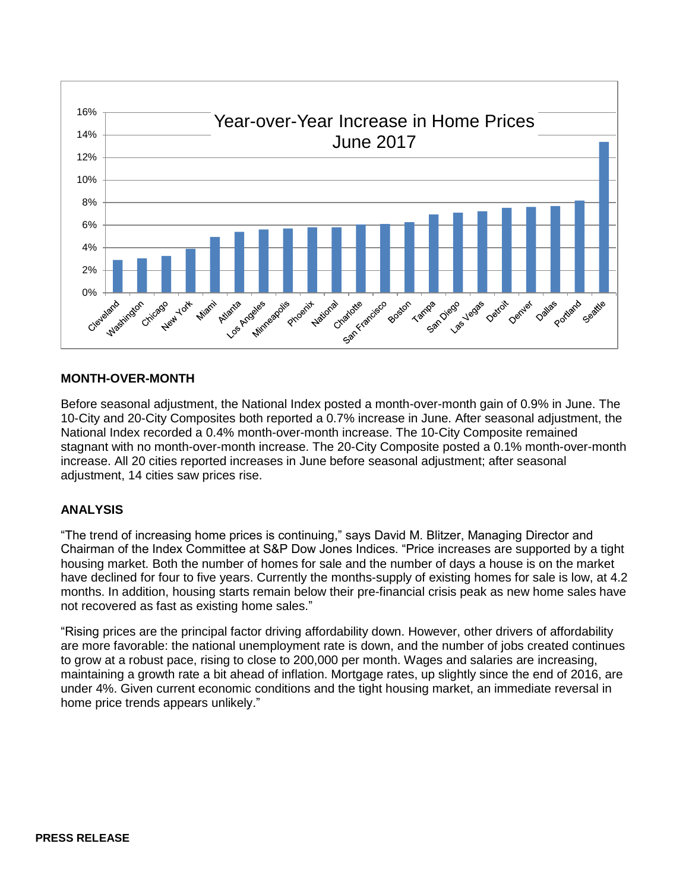

# **MONTH-OVER-MONTH**

Before seasonal adjustment, the National Index posted a month-over-month gain of 0.9% in June. The 10-City and 20-City Composites both reported a 0.7% increase in June. After seasonal adjustment, the National Index recorded a 0.4% month-over-month increase. The 10-City Composite remained stagnant with no month-over-month increase. The 20-City Composite posted a 0.1% month-over-month increase. All 20 cities reported increases in June before seasonal adjustment; after seasonal adjustment, 14 cities saw prices rise.

#### **ANALYSIS**

"The trend of increasing home prices is continuing," says David M. Blitzer, Managing Director and Chairman of the Index Committee at S&P Dow Jones Indices. "Price increases are supported by a tight housing market. Both the number of homes for sale and the number of days a house is on the market have declined for four to five years. Currently the months-supply of existing homes for sale is low, at 4.2 months. In addition, housing starts remain below their pre-financial crisis peak as new home sales have not recovered as fast as existing home sales."

"Rising prices are the principal factor driving affordability down. However, other drivers of affordability are more favorable: the national unemployment rate is down, and the number of jobs created continues to grow at a robust pace, rising to close to 200,000 per month. Wages and salaries are increasing, maintaining a growth rate a bit ahead of inflation. Mortgage rates, up slightly since the end of 2016, are under 4%. Given current economic conditions and the tight housing market, an immediate reversal in home price trends appears unlikely."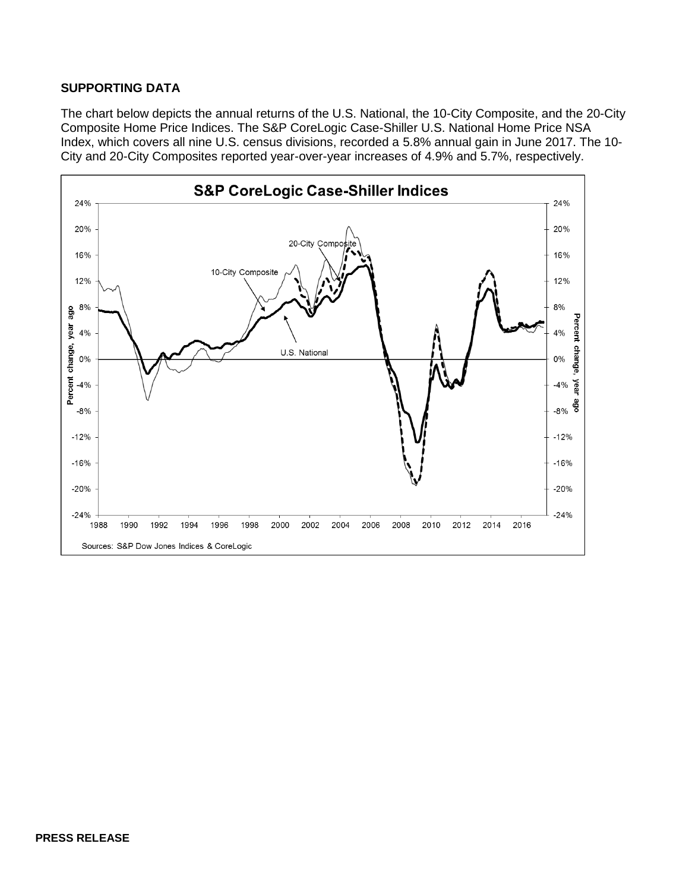# **SUPPORTING DATA**

The chart below depicts the annual returns of the U.S. National, the 10-City Composite, and the 20-City Composite Home Price Indices. The S&P CoreLogic Case-Shiller U.S. National Home Price NSA Index, which covers all nine U.S. census divisions, recorded a 5.8% annual gain in June 2017. The 10- City and 20-City Composites reported year-over-year increases of 4.9% and 5.7%, respectively.

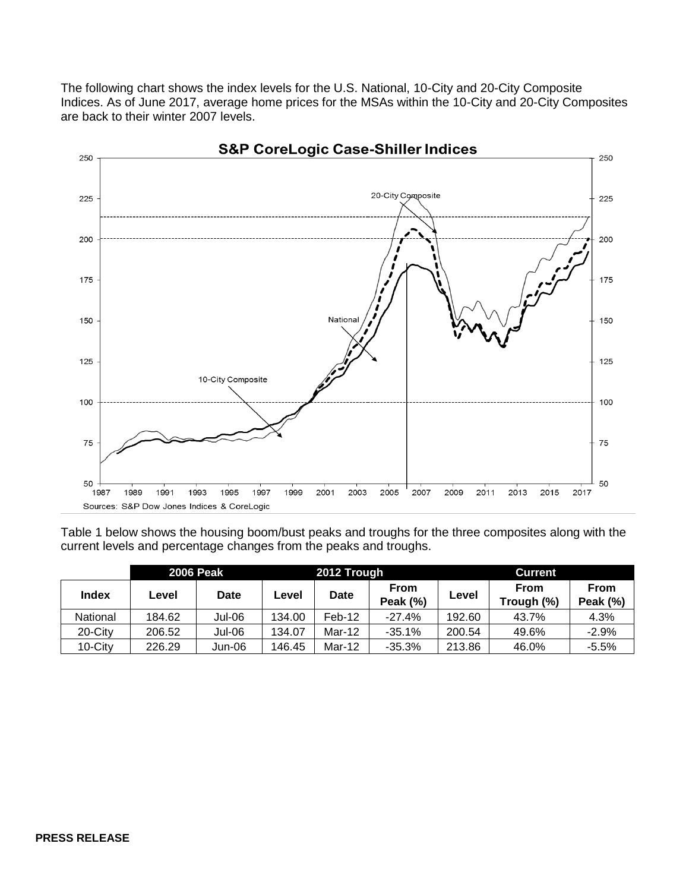The following chart shows the index levels for the U.S. National, 10-City and 20-City Composite Indices. As of June 2017, average home prices for the MSAs within the 10-City and 20-City Composites are back to their winter 2007 levels.



Table 1 below shows the housing boom/bust peaks and troughs for the three composites along with the current levels and percentage changes from the peaks and troughs.

|          | <b>2006 Peak</b> |             | 2012 Trough |             |                         | Current |                    |                         |
|----------|------------------|-------------|-------------|-------------|-------------------------|---------|--------------------|-------------------------|
| Index    | Level            | <b>Date</b> | Level       | <b>Date</b> | <b>From</b><br>Peak (%) | Level   | From<br>Trough (%) | <b>From</b><br>Peak (%) |
| National | 184.62           | Jul-06      | 134.00      | Feb-12      | $-27.4%$                | 192.60  | 43.7%              | 4.3%                    |
| 20-City  | 206.52           | Jul-06      | 134.07      | Mar-12      | $-35.1%$                | 200.54  | 49.6%              | $-2.9%$                 |
| 10-City  | 226.29           | Jun-06      | 146.45      | Mar-12      | $-35.3%$                | 213.86  | 46.0%              | $-5.5%$                 |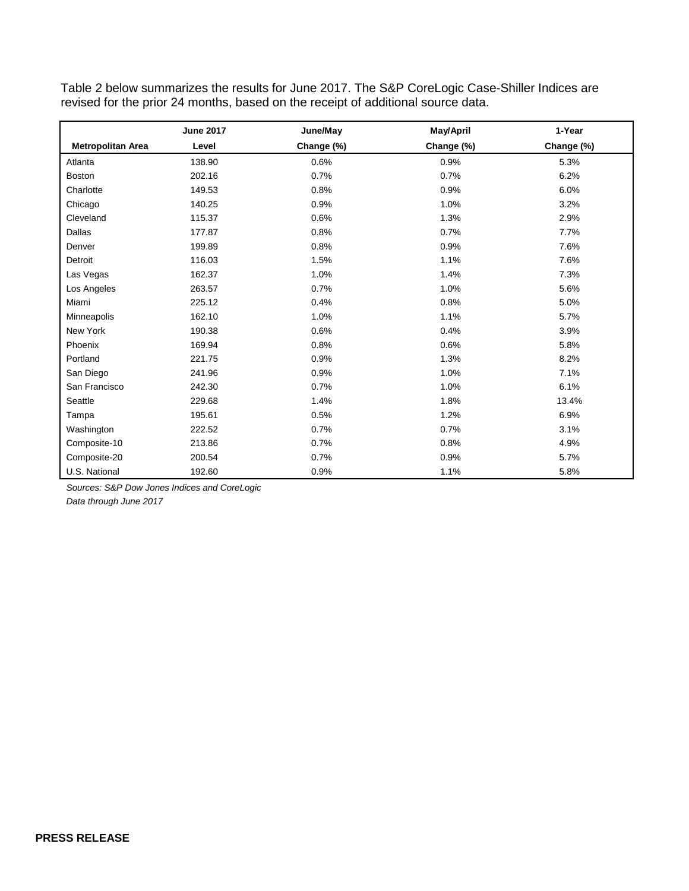Table 2 below summarizes the results for June 2017. The S&P CoreLogic Case-Shiller Indices are revised for the prior 24 months, based on the receipt of additional source data.

|                          | <b>June 2017</b> | June/May   | <b>May/April</b> | 1-Year     |
|--------------------------|------------------|------------|------------------|------------|
| <b>Metropolitan Area</b> | Level            | Change (%) | Change (%)       | Change (%) |
| Atlanta                  | 138.90           | 0.6%       | 0.9%             | 5.3%       |
| <b>Boston</b>            | 202.16           | 0.7%       | 0.7%             | 6.2%       |
| Charlotte                | 149.53           | 0.8%       | 0.9%             | 6.0%       |
| Chicago                  | 140.25           | 0.9%       | 1.0%             | 3.2%       |
| Cleveland                | 115.37           | 0.6%       | 1.3%             | 2.9%       |
| Dallas                   | 177.87           | 0.8%       | 0.7%             | 7.7%       |
| Denver                   | 199.89           | 0.8%       | 0.9%             | 7.6%       |
| Detroit                  | 116.03           | 1.5%       | 1.1%             | 7.6%       |
| Las Vegas                | 162.37           | 1.0%       | 1.4%             | 7.3%       |
| Los Angeles              | 263.57           | 0.7%       | 1.0%             | 5.6%       |
| Miami                    | 225.12           | 0.4%       | 0.8%             | 5.0%       |
| Minneapolis              | 162.10           | 1.0%       | 1.1%             | 5.7%       |
| New York                 | 190.38           | 0.6%       | 0.4%             | 3.9%       |
| Phoenix                  | 169.94           | 0.8%       | 0.6%             | 5.8%       |
| Portland                 | 221.75           | 0.9%       | 1.3%             | 8.2%       |
| San Diego                | 241.96           | 0.9%       | 1.0%             | 7.1%       |
| San Francisco            | 242.30           | 0.7%       | 1.0%             | 6.1%       |
| Seattle                  | 229.68           | 1.4%       | 1.8%             | 13.4%      |
| Tampa                    | 195.61           | 0.5%       | 1.2%             | 6.9%       |
| Washington               | 222.52           | 0.7%       | 0.7%             | 3.1%       |
| Composite-10             | 213.86           | 0.7%       | 0.8%             | 4.9%       |
| Composite-20             | 200.54           | 0.7%       | 0.9%             | 5.7%       |
| U.S. National            | 192.60           | 0.9%       | 1.1%             | 5.8%       |

*Sources: S&P Dow Jones Indices and CoreLogic*

*Data through June 2017*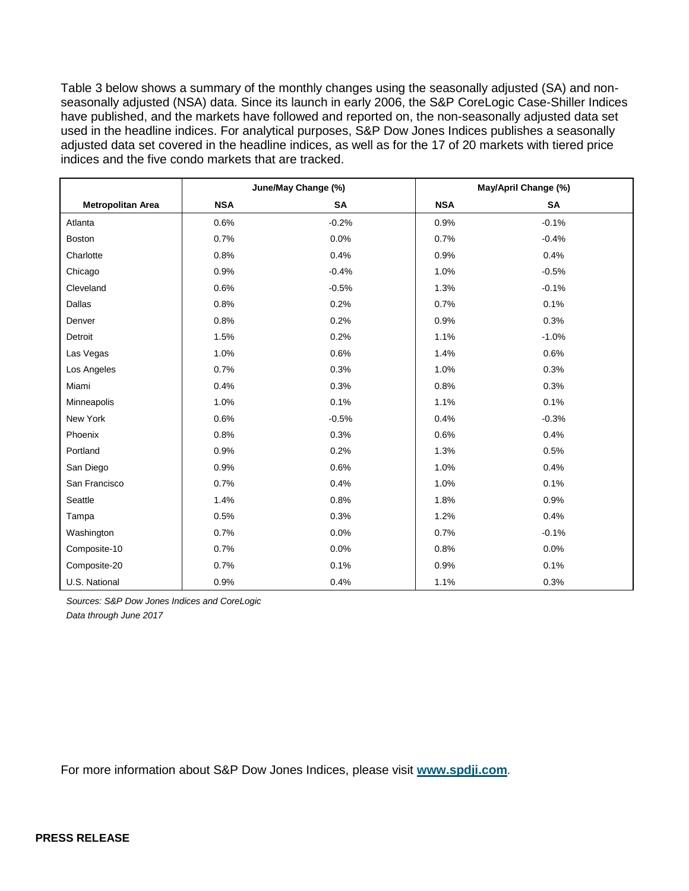Table 3 below shows a summary of the monthly changes using the seasonally adjusted (SA) and nonseasonally adjusted (NSA) data. Since its launch in early 2006, the S&P CoreLogic Case-Shiller Indices have published, and the markets have followed and reported on, the non-seasonally adjusted data set used in the headline indices. For analytical purposes, S&P Dow Jones Indices publishes a seasonally adjusted data set covered in the headline indices, as well as for the 17 of 20 markets with tiered price indices and the five condo markets that are tracked.

|                          |            | June/May Change (%) | May/April Change (%) |           |  |
|--------------------------|------------|---------------------|----------------------|-----------|--|
| <b>Metropolitan Area</b> | <b>NSA</b> | <b>SA</b>           | <b>NSA</b>           | <b>SA</b> |  |
| Atlanta                  | 0.6%       | $-0.2%$             | 0.9%                 | $-0.1%$   |  |
| <b>Boston</b>            | 0.7%       | 0.0%                | 0.7%                 | $-0.4%$   |  |
| Charlotte                | 0.8%       | 0.4%                | 0.9%                 | 0.4%      |  |
| Chicago                  | 0.9%       | $-0.4%$             | 1.0%                 | $-0.5%$   |  |
| Cleveland                | 0.6%       | $-0.5%$             | 1.3%                 | $-0.1%$   |  |
| Dallas                   | 0.8%       | 0.2%                | 0.7%                 | 0.1%      |  |
| Denver                   | 0.8%       | 0.2%                | 0.9%                 | 0.3%      |  |
| Detroit                  | 1.5%       | 0.2%                | 1.1%                 | $-1.0%$   |  |
| Las Vegas                | 1.0%       | 0.6%                | 1.4%                 | 0.6%      |  |
| Los Angeles              | 0.7%       | 0.3%                | 1.0%                 | 0.3%      |  |
| Miami                    | 0.4%       | 0.3%                | 0.8%                 | 0.3%      |  |
| Minneapolis              | 1.0%       | 0.1%                | 1.1%                 | 0.1%      |  |
| New York                 | 0.6%       | $-0.5%$             | 0.4%                 | $-0.3%$   |  |
| Phoenix                  | 0.8%       | 0.3%                | 0.6%                 | 0.4%      |  |
| Portland                 | 0.9%       | 0.2%                | 1.3%                 | 0.5%      |  |
| San Diego                | 0.9%       | 0.6%                | 1.0%                 | 0.4%      |  |
| San Francisco            | 0.7%       | 0.4%                | 1.0%                 | 0.1%      |  |
| Seattle                  | 1.4%       | 0.8%                | 1.8%                 | 0.9%      |  |
| Tampa                    | 0.5%       | 0.3%                | 1.2%                 | 0.4%      |  |
| Washington               | 0.7%       | 0.0%                | 0.7%                 | $-0.1%$   |  |
| Composite-10             | 0.7%       | 0.0%                | 0.8%                 | 0.0%      |  |
| Composite-20             | 0.7%       | 0.1%                | 0.9%                 | 0.1%      |  |
| U.S. National            | 0.9%       | 0.4%                | 1.1%                 | 0.3%      |  |

*Sources: S&P Dow Jones Indices and CoreLogic Data through June 2017*

For more information about S&P Dow Jones Indices, please visit **[www.spdji.com](http://www.spdji.com/)**.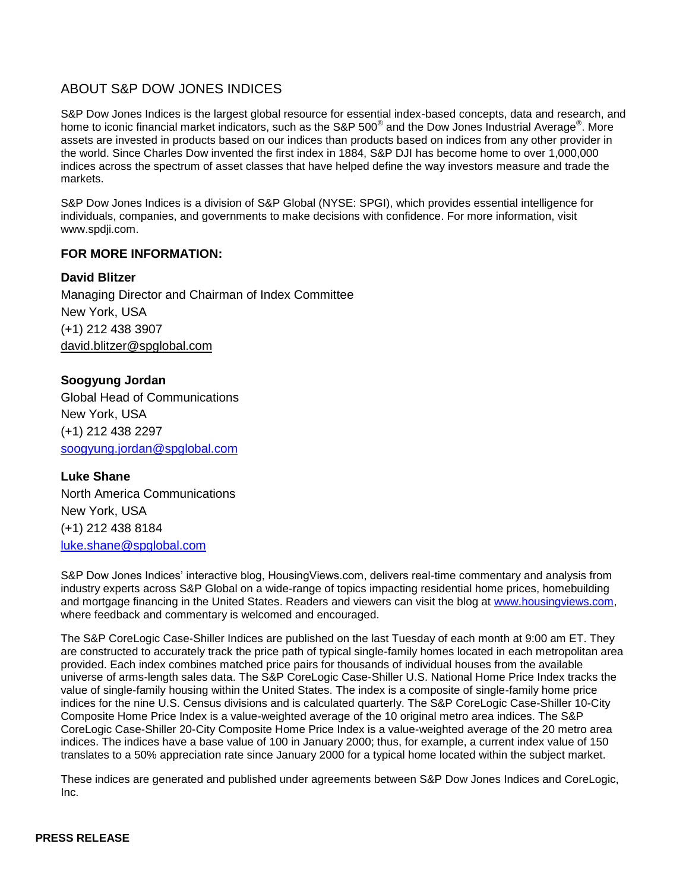# ABOUT S&P DOW JONES INDICES

S&P Dow Jones Indices is the largest global resource for essential index-based concepts, data and research, and home to iconic financial market indicators, such as the S&P 500<sup>®</sup> and the Dow Jones Industrial Average<sup>®</sup>. More assets are invested in products based on our indices than products based on indices from any other provider in the world. Since Charles Dow invented the first index in 1884, S&P DJI has become home to over 1,000,000 indices across the spectrum of asset classes that have helped define the way investors measure and trade the markets.

S&P Dow Jones Indices is a division of S&P Global (NYSE: SPGI), which provides essential intelligence for individuals, companies, and governments to make decisions with confidence. For more information, visit www.spdji.com.

# **FOR MORE INFORMATION:**

# **David Blitzer**

Managing Director and Chairman of Index Committee New York, USA (+1) 212 438 3907 david.blitzer@spglobal.com

**Soogyung Jordan** Global Head of Communications New York, USA (+1) 212 438 2297 [soogyung.jordan@spglobal.com](mailto:soogyung.jordan@spglobal.com)

**Luke Shane** North America Communications New York, USA (+1) 212 438 8184 [luke.shane@spglobal.com](mailto:luke.shane@spglobal.com)

S&P Dow Jones Indices' interactive blog, HousingViews.com, delivers real-time commentary and analysis from industry experts across S&P Global on a wide-range of topics impacting residential home prices, homebuilding and mortgage financing in the United States. Readers and viewers can visit the blog at [www.housingviews.com,](http://www.housingviews.com/) where feedback and commentary is welcomed and encouraged.

The S&P CoreLogic Case-Shiller Indices are published on the last Tuesday of each month at 9:00 am ET. They are constructed to accurately track the price path of typical single-family homes located in each metropolitan area provided. Each index combines matched price pairs for thousands of individual houses from the available universe of arms-length sales data. The S&P CoreLogic Case-Shiller U.S. National Home Price Index tracks the value of single-family housing within the United States. The index is a composite of single-family home price indices for the nine U.S. Census divisions and is calculated quarterly. The S&P CoreLogic Case-Shiller 10-City Composite Home Price Index is a value-weighted average of the 10 original metro area indices. The S&P CoreLogic Case-Shiller 20-City Composite Home Price Index is a value-weighted average of the 20 metro area indices. The indices have a base value of 100 in January 2000; thus, for example, a current index value of 150 translates to a 50% appreciation rate since January 2000 for a typical home located within the subject market.

These indices are generated and published under agreements between S&P Dow Jones Indices and CoreLogic, Inc.